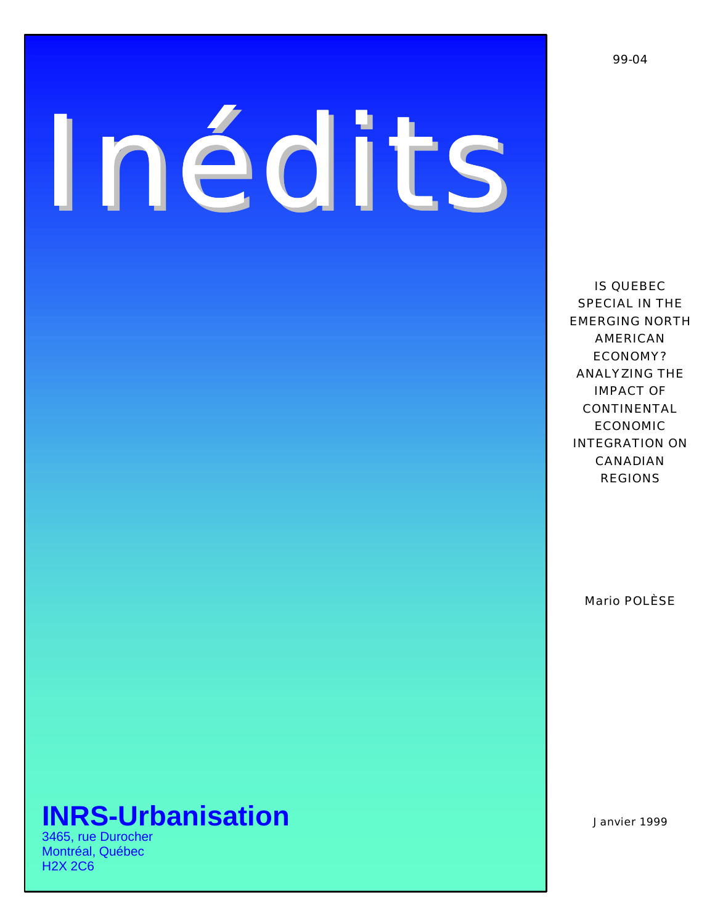# *Inédits*

Mario POLÈSE

# **INRS-Urbanisation** Janvier 1999

3465, rue Durocher Montréal, Québec H2X 2C6

IS QUEBEC SPECIAL IN THE EMERGING NORTH AMERICAN ECONOMY? ANALYZING THE IMPACT OF CONTINENTAL ECONOMIC INTEGRATION ON CANADIAN REGIONS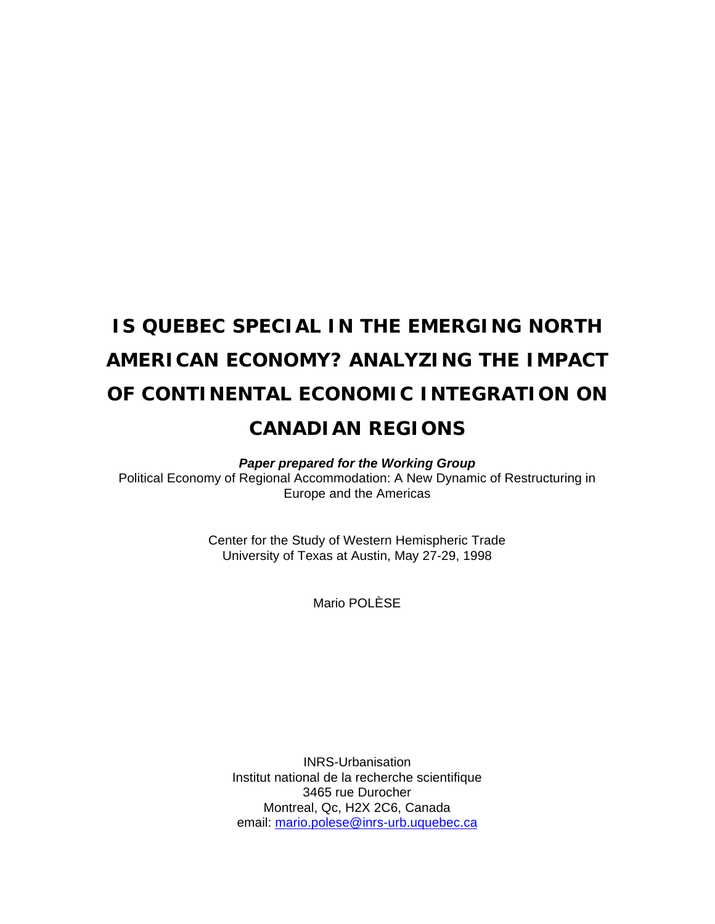# **IS QUEBEC SPECIAL IN THE EMERGING NORTH AMERICAN ECONOMY? ANALYZING THE IMPACT OF CONTINENTAL ECONOMIC INTEGRATION ON CANADIAN REGIONS**

*Paper prepared for the Working Group*

Political Economy of Regional Accommodation: A New Dynamic of Restructuring in Europe and the Americas

> Center for the Study of Western Hemispheric Trade University of Texas at Austin, May 27-29, 1998

> > Mario POLÈSE

INRS-Urbanisation Institut national de la recherche scientifique 3465 rue Durocher Montreal, Qc, H2X 2C6, Canada email: mario.polese@inrs-urb.uquebec.ca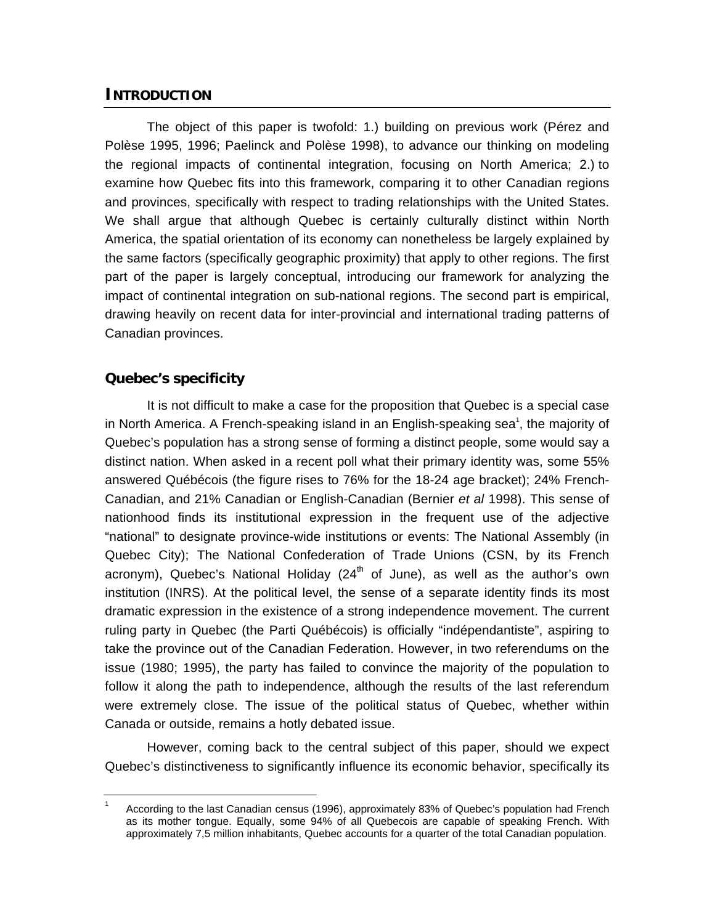## **INTRODUCTION**

The object of this paper is twofold: 1.) building on previous work (Pérez and Polèse 1995, 1996; Paelinck and Polèse 1998), to advance our thinking on modeling the regional impacts of continental integration, focusing on North America; 2.) to examine how Quebec fits into this framework, comparing it to other Canadian regions and provinces, specifically with respect to trading relationships with the United States. We shall argue that although Quebec is certainly culturally distinct within North America, the spatial orientation of its economy can nonetheless be largely explained by the same factors (specifically geographic proximity) that apply to other regions. The first part of the paper is largely conceptual, introducing our framework for analyzing the impact of continental integration on sub-national regions. The second part is empirical, drawing heavily on recent data for inter-provincial and international trading patterns of Canadian provinces.

#### **Quebec's specificity**

It is not difficult to make a case for the proposition that Quebec is a special case in North America. A French-speaking island in an English-speaking sea<sup>1</sup>, the majority of Quebec's population has a strong sense of forming a distinct people, some would say a distinct nation. When asked in a recent poll what their primary identity was, some 55% answered Québécois (the figure rises to 76% for the 18-24 age bracket); 24% French-Canadian, and 21% Canadian or English-Canadian (Bernier *et al* 1998). This sense of nationhood finds its institutional expression in the frequent use of the adjective "national" to designate province-wide institutions or events: The National Assembly (in Quebec City); The National Confederation of Trade Unions (CSN, by its French acronym), Quebec's National Holiday  $(24<sup>th</sup>$  of June), as well as the author's own institution (INRS). At the political level, the sense of a separate identity finds its most dramatic expression in the existence of a strong independence movement. The current ruling party in Quebec (the Parti Québécois) is officially "indépendantiste", aspiring to take the province out of the Canadian Federation. However, in two referendums on the issue (1980; 1995), the party has failed to convince the majority of the population to follow it along the path to independence, although the results of the last referendum were extremely close. The issue of the political status of Quebec, whether within Canada or outside, remains a hotly debated issue.

However, coming back to the central subject of this paper, should we expect Quebec's distinctiveness to significantly influence its economic behavior, specifically its

<sup>1</sup> According to the last Canadian census (1996), approximately 83% of Quebec's population had French as its mother tongue. Equally, some 94% of all Quebecois are capable of speaking French. With approximately 7,5 million inhabitants, Quebec accounts for a quarter of the total Canadian population.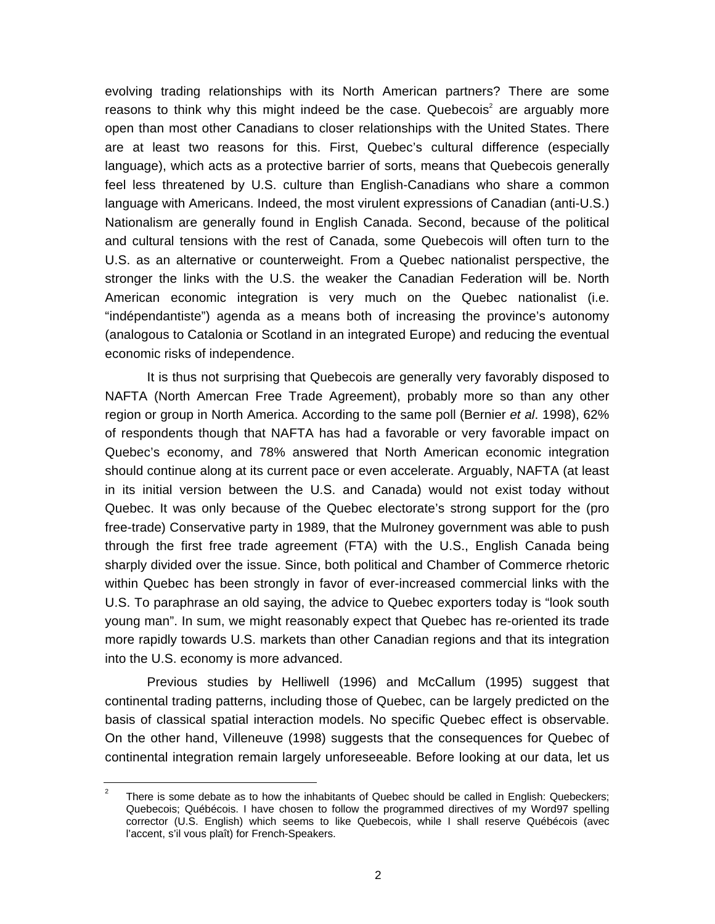evolving trading relationships with its North American partners? There are some reasons to think why this might indeed be the case. Quebecois<sup>2</sup> are arguably more open than most other Canadians to closer relationships with the United States. There are at least two reasons for this. First, Quebec's cultural difference (especially language), which acts as a protective barrier of sorts, means that Quebecois generally feel less threatened by U.S. culture than English-Canadians who share a common language with Americans. Indeed, the most virulent expressions of Canadian (anti-U.S.) Nationalism are generally found in English Canada. Second, because of the political and cultural tensions with the rest of Canada, some Quebecois will often turn to the U.S. as an alternative or counterweight. From a Quebec nationalist perspective, the stronger the links with the U.S. the weaker the Canadian Federation will be. North American economic integration is very much on the Quebec nationalist (i.e. "indépendantiste") agenda as a means both of increasing the province's autonomy (analogous to Catalonia or Scotland in an integrated Europe) and reducing the eventual economic risks of independence.

It is thus not surprising that Quebecois are generally very favorably disposed to NAFTA (North Amercan Free Trade Agreement), probably more so than any other region or group in North America. According to the same poll (Bernier *et al*. 1998), 62% of respondents though that NAFTA has had a favorable or very favorable impact on Quebec's economy, and 78% answered that North American economic integration should continue along at its current pace or even accelerate. Arguably, NAFTA (at least in its initial version between the U.S. and Canada) would not exist today without Quebec. It was only because of the Quebec electorate's strong support for the (pro free-trade) Conservative party in 1989, that the Mulroney government was able to push through the first free trade agreement (FTA) with the U.S., English Canada being sharply divided over the issue. Since, both political and Chamber of Commerce rhetoric within Quebec has been strongly in favor of ever-increased commercial links with the U.S. To paraphrase an old saying, the advice to Quebec exporters today is "look south young man". In sum, we might reasonably expect that Quebec has re-oriented its trade more rapidly towards U.S. markets than other Canadian regions and that its integration into the U.S. economy is more advanced.

Previous studies by Helliwell (1996) and McCallum (1995) suggest that continental trading patterns, including those of Quebec, can be largely predicted on the basis of classical spatial interaction models. No specific Quebec effect is observable. On the other hand, Villeneuve (1998) suggests that the consequences for Quebec of continental integration remain largely unforeseeable. Before looking at our data, let us

<sup>2</sup> There is some debate as to how the inhabitants of Quebec should be called in English: Quebeckers; Quebecois; Québécois. I have chosen to follow the programmed directives of my Word97 spelling corrector (U.S. English) which seems to like Quebecois, while I shall reserve Québécois (avec l'accent, s'il vous plaît) for French-Speakers.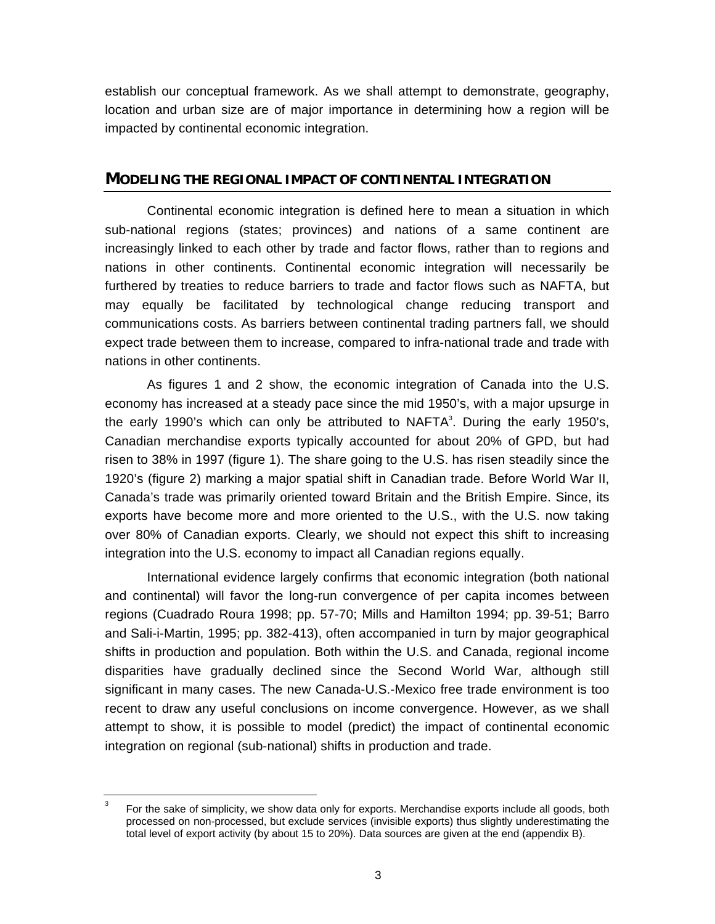establish our conceptual framework. As we shall attempt to demonstrate, geography, location and urban size are of major importance in determining how a region will be impacted by continental economic integration.

#### **MODELING THE REGIONAL IMPACT OF CONTINENTAL INTEGRATION**

Continental economic integration is defined here to mean a situation in which sub-national regions (states; provinces) and nations of a same continent are increasingly linked to each other by trade and factor flows, rather than to regions and nations in other continents. Continental economic integration will necessarily be furthered by treaties to reduce barriers to trade and factor flows such as NAFTA, but may equally be facilitated by technological change reducing transport and communications costs. As barriers between continental trading partners fall, we should expect trade between them to increase, compared to infra-national trade and trade with nations in other continents.

As figures 1 and 2 show, the economic integration of Canada into the U.S. economy has increased at a steady pace since the mid 1950's, with a major upsurge in the early 1990's which can only be attributed to  $NAFTA<sup>3</sup>$ . During the early 1950's, Canadian merchandise exports typically accounted for about 20% of GPD, but had risen to 38% in 1997 (figure 1). The share going to the U.S. has risen steadily since the 1920's (figure 2) marking a major spatial shift in Canadian trade. Before World War II, Canada's trade was primarily oriented toward Britain and the British Empire. Since, its exports have become more and more oriented to the U.S., with the U.S. now taking over 80% of Canadian exports. Clearly, we should not expect this shift to increasing integration into the U.S. economy to impact all Canadian regions equally.

International evidence largely confirms that economic integration (both national and continental) will favor the long-run convergence of per capita incomes between regions (Cuadrado Roura 1998; pp. 57-70; Mills and Hamilton 1994; pp. 39-51; Barro and Sali-i-Martin, 1995; pp. 382-413), often accompanied in turn by major geographical shifts in production and population. Both within the U.S. and Canada, regional income disparities have gradually declined since the Second World War, although still significant in many cases. The new Canada-U.S.-Mexico free trade environment is too recent to draw any useful conclusions on income convergence. However, as we shall attempt to show, it is possible to model (predict) the impact of continental economic integration on regional (sub-national) shifts in production and trade.

<sup>3</sup> For the sake of simplicity, we show data only for exports. Merchandise exports include all goods, both processed on non-processed, but exclude services (invisible exports) thus slightly underestimating the total level of export activity (by about 15 to 20%). Data sources are given at the end (appendix B).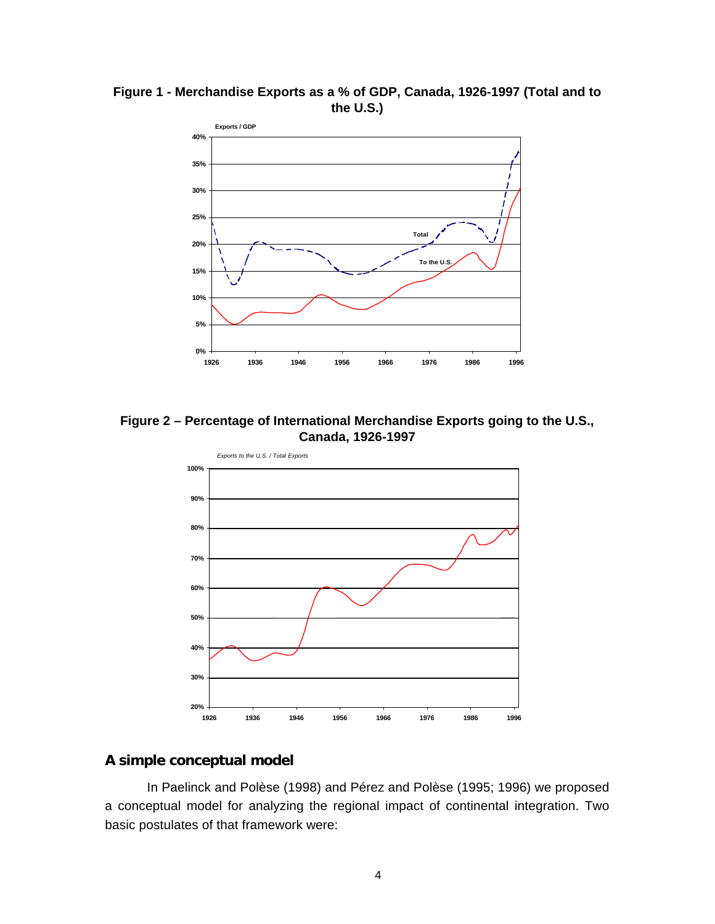

**Figure 1 - Merchandise Exports as a % of GDP, Canada, 1926-1997 (Total and to the U.S.)**

**Figure 2 – Percentage of International Merchandise Exports going to the U.S., Canada, 1926-1997**



## **A simple conceptual model**

In Paelinck and Polèse (1998) and Pérez and Polèse (1995; 1996) we proposed a conceptual model for analyzing the regional impact of continental integration. Two basic postulates of that framework were: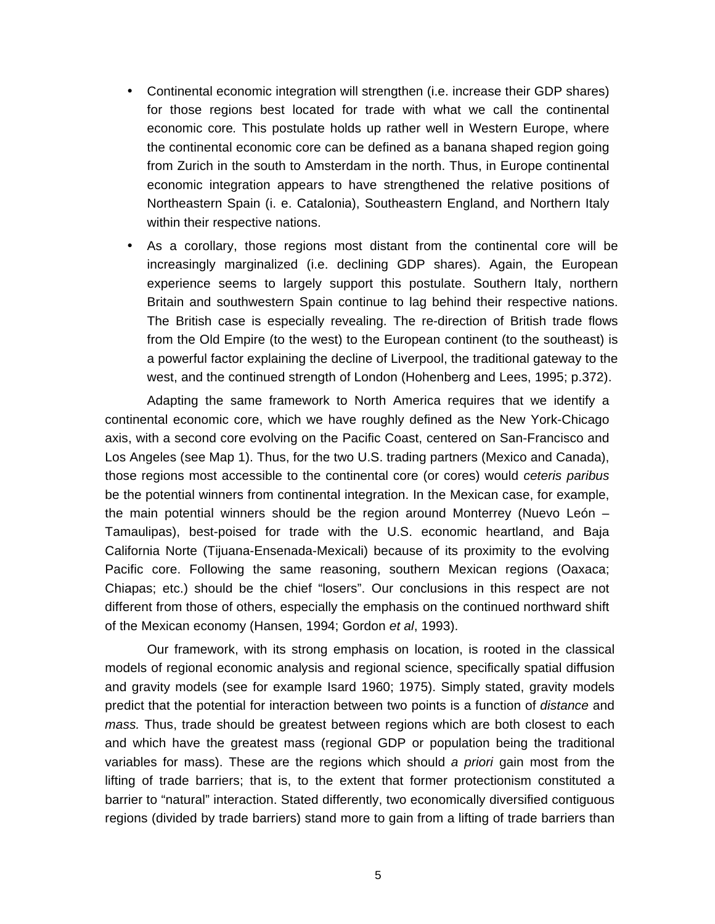- Continental economic integration will strengthen (i.e. increase their GDP shares) for those regions best located for trade with what we call the continental economic core*.* This postulate holds up rather well in Western Europe, where the continental economic core can be defined as a banana shaped region going from Zurich in the south to Amsterdam in the north. Thus, in Europe continental economic integration appears to have strengthened the relative positions of Northeastern Spain (i. e. Catalonia), Southeastern England, and Northern Italy within their respective nations.
- As a corollary, those regions most distant from the continental core will be increasingly marginalized (i.e. declining GDP shares). Again, the European experience seems to largely support this postulate. Southern Italy, northern Britain and southwestern Spain continue to lag behind their respective nations. The British case is especially revealing. The re-direction of British trade flows from the Old Empire (to the west) to the European continent (to the southeast) is a powerful factor explaining the decline of Liverpool, the traditional gateway to the west, and the continued strength of London (Hohenberg and Lees, 1995; p.372).

Adapting the same framework to North America requires that we identify a continental economic core, which we have roughly defined as the New York-Chicago axis, with a second core evolving on the Pacific Coast, centered on San-Francisco and Los Angeles (see Map 1). Thus, for the two U.S. trading partners (Mexico and Canada), those regions most accessible to the continental core (or cores) would *ceteris paribus* be the potential winners from continental integration. In the Mexican case, for example, the main potential winners should be the region around Monterrey (Nuevo León – Tamaulipas), best-poised for trade with the U.S. economic heartland, and Baja California Norte (Tijuana-Ensenada-Mexicali) because of its proximity to the evolving Pacific core. Following the same reasoning, southern Mexican regions (Oaxaca; Chiapas; etc.) should be the chief "losers". Our conclusions in this respect are not different from those of others, especially the emphasis on the continued northward shift of the Mexican economy (Hansen, 1994; Gordon *et al*, 1993).

Our framework, with its strong emphasis on location, is rooted in the classical models of regional economic analysis and regional science, specifically spatial diffusion and gravity models (see for example Isard 1960; 1975). Simply stated, gravity models predict that the potential for interaction between two points is a function of *distance* and *mass.* Thus, trade should be greatest between regions which are both closest to each and which have the greatest mass (regional GDP or population being the traditional variables for mass). These are the regions which should *a priori* gain most from the lifting of trade barriers; that is, to the extent that former protectionism constituted a barrier to "natural" interaction. Stated differently, two economically diversified contiguous regions (divided by trade barriers) stand more to gain from a lifting of trade barriers than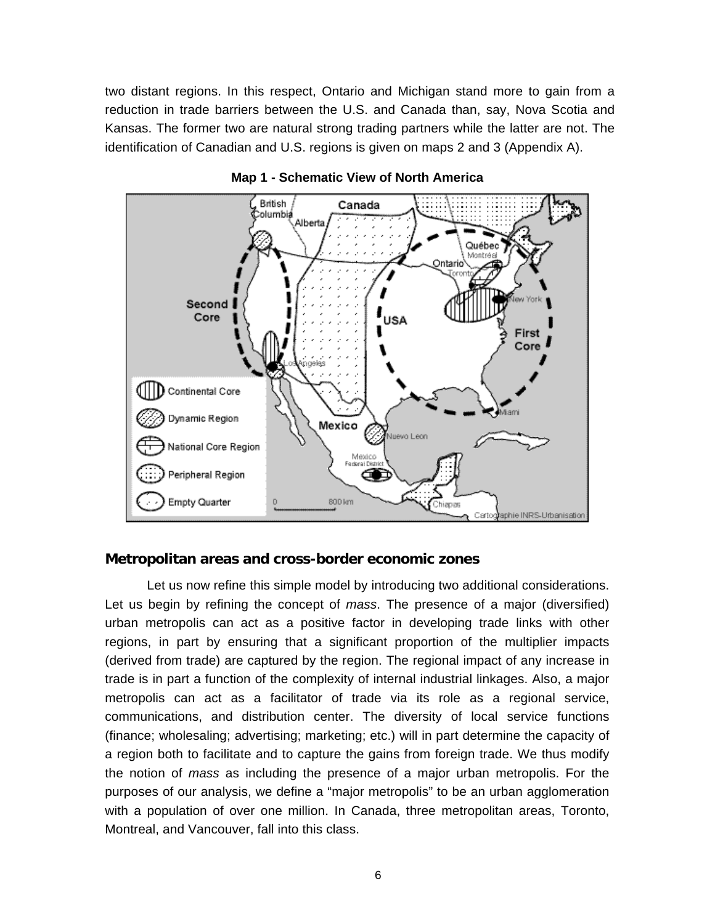two distant regions. In this respect, Ontario and Michigan stand more to gain from a reduction in trade barriers between the U.S. and Canada than, say, Nova Scotia and Kansas. The former two are natural strong trading partners while the latter are not. The identification of Canadian and U.S. regions is given on maps 2 and 3 (Appendix A).



#### **Map 1 - Schematic View of North America**

#### **Metropolitan areas and cross-border economic zones**

Let us now refine this simple model by introducing two additional considerations. Let us begin by refining the concept of *mass*. The presence of a major (diversified) urban metropolis can act as a positive factor in developing trade links with other regions, in part by ensuring that a significant proportion of the multiplier impacts (derived from trade) are captured by the region. The regional impact of any increase in trade is in part a function of the complexity of internal industrial linkages. Also, a major metropolis can act as a facilitator of trade via its role as a regional service, communications, and distribution center. The diversity of local service functions (finance; wholesaling; advertising; marketing; etc.) will in part determine the capacity of a region both to facilitate and to capture the gains from foreign trade. We thus modify the notion of *mass* as including the presence of a major urban metropolis. For the purposes of our analysis, we define a "major metropolis" to be an urban agglomeration with a population of over one million. In Canada, three metropolitan areas, Toronto, Montreal, and Vancouver, fall into this class.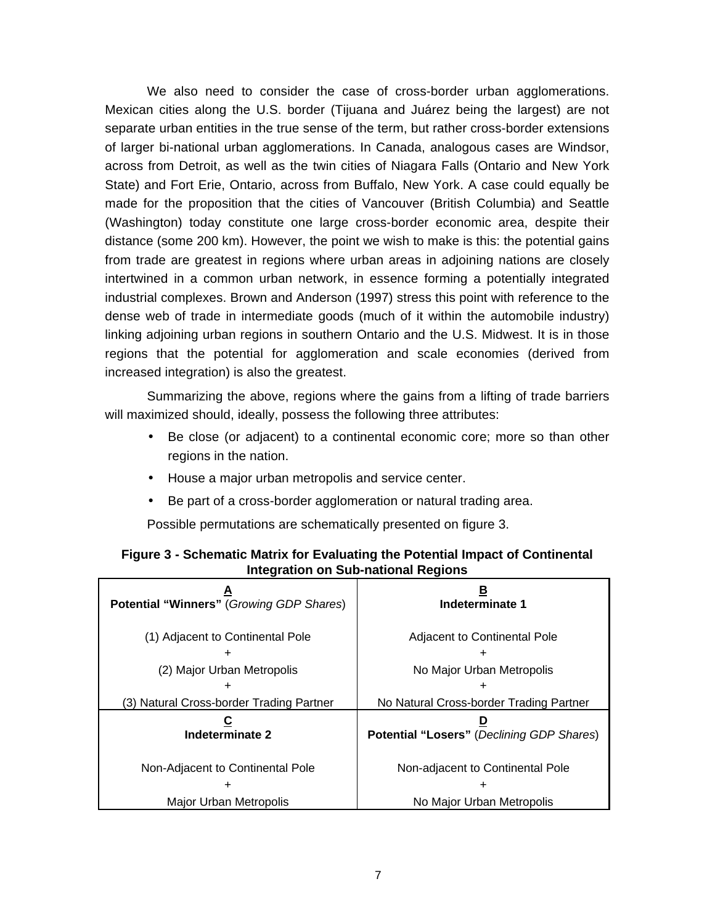We also need to consider the case of cross-border urban agglomerations. Mexican cities along the U.S. border (Tijuana and Juárez being the largest) are not separate urban entities in the true sense of the term, but rather cross-border extensions of larger bi-national urban agglomerations. In Canada, analogous cases are Windsor, across from Detroit, as well as the twin cities of Niagara Falls (Ontario and New York State) and Fort Erie, Ontario, across from Buffalo, New York. A case could equally be made for the proposition that the cities of Vancouver (British Columbia) and Seattle (Washington) today constitute one large cross-border economic area, despite their distance (some 200 km). However, the point we wish to make is this: the potential gains from trade are greatest in regions where urban areas in adjoining nations are closely intertwined in a common urban network, in essence forming a potentially integrated industrial complexes. Brown and Anderson (1997) stress this point with reference to the dense web of trade in intermediate goods (much of it within the automobile industry) linking adjoining urban regions in southern Ontario and the U.S. Midwest. It is in those regions that the potential for agglomeration and scale economies (derived from increased integration) is also the greatest.

Summarizing the above, regions where the gains from a lifting of trade barriers will maximized should, ideally, possess the following three attributes:

- Be close (or adjacent) to a continental economic core; more so than other regions in the nation.
- House a major urban metropolis and service center.
- Be part of a cross-border agglomeration or natural trading area.

Possible permutations are schematically presented on figure 3.

| <b>Potential "Winners" (Growing GDP Shares)</b> | Indeterminate 1                                  |  |  |  |
|-------------------------------------------------|--------------------------------------------------|--|--|--|
| (1) Adjacent to Continental Pole                | Adjacent to Continental Pole                     |  |  |  |
| (2) Major Urban Metropolis                      | No Major Urban Metropolis                        |  |  |  |
|                                                 |                                                  |  |  |  |
| (3) Natural Cross-border Trading Partner        | No Natural Cross-border Trading Partner          |  |  |  |
| Indeterminate 2                                 | <b>Potential "Losers" (Declining GDP Shares)</b> |  |  |  |
| Non-Adjacent to Continental Pole                | Non-adjacent to Continental Pole                 |  |  |  |
|                                                 | ٠                                                |  |  |  |
| Major Urban Metropolis                          | No Major Urban Metropolis                        |  |  |  |

#### **Figure 3 - Schematic Matrix for Evaluating the Potential Impact of Continental Integration on Sub-national Regions**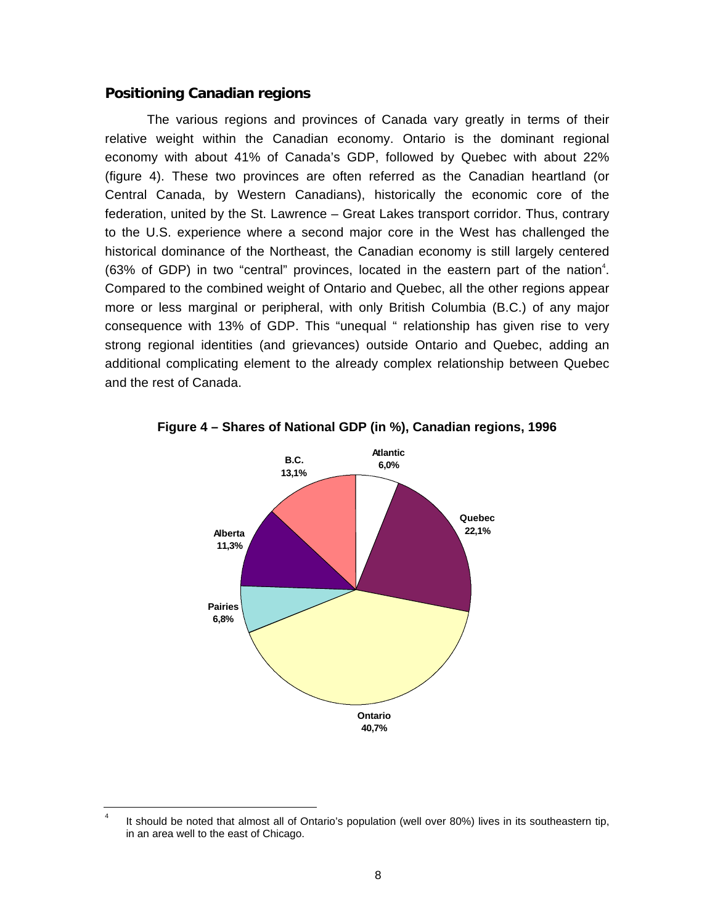#### **Positioning Canadian regions**

The various regions and provinces of Canada vary greatly in terms of their relative weight within the Canadian economy. Ontario is the dominant regional economy with about 41% of Canada's GDP, followed by Quebec with about 22% (figure 4). These two provinces are often referred as the Canadian heartland (or Central Canada, by Western Canadians), historically the economic core of the federation, united by the St. Lawrence – Great Lakes transport corridor. Thus, contrary to the U.S. experience where a second major core in the West has challenged the historical dominance of the Northeast, the Canadian economy is still largely centered (63% of GDP) in two "central" provinces, located in the eastern part of the nation $4$ . Compared to the combined weight of Ontario and Quebec, all the other regions appear more or less marginal or peripheral, with only British Columbia (B.C.) of any major consequence with 13% of GDP. This "unequal " relationship has given rise to very strong regional identities (and grievances) outside Ontario and Quebec, adding an additional complicating element to the already complex relationship between Quebec and the rest of Canada.



**Figure 4 – Shares of National GDP (in %), Canadian regions, 1996**

<sup>4</sup> It should be noted that almost all of Ontario's population (well over 80%) lives in its southeastern tip, in an area well to the east of Chicago.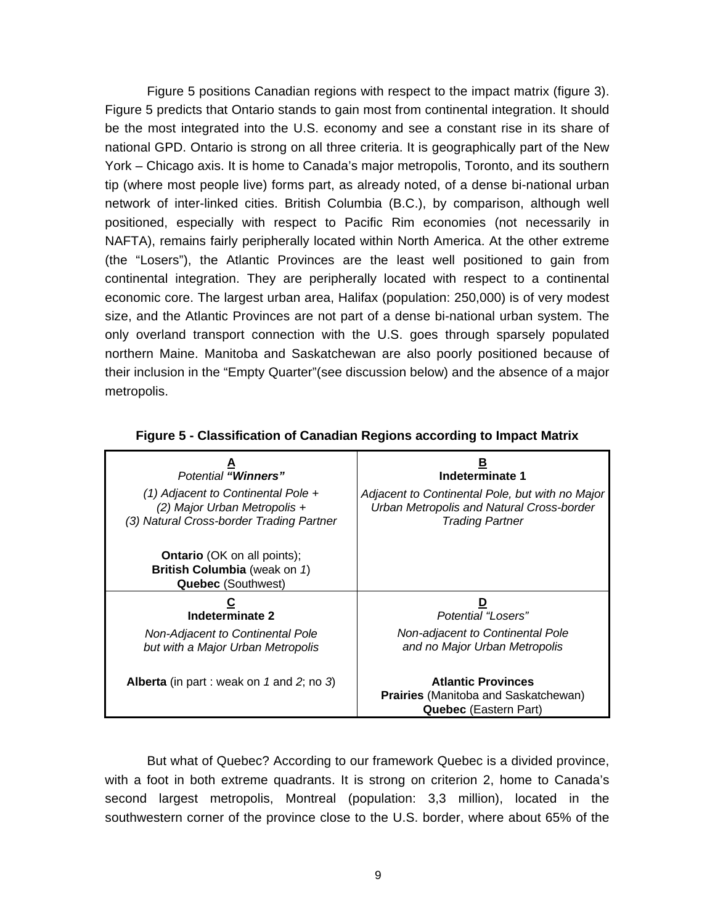Figure 5 positions Canadian regions with respect to the impact matrix (figure 3). Figure 5 predicts that Ontario stands to gain most from continental integration. It should be the most integrated into the U.S. economy and see a constant rise in its share of national GPD. Ontario is strong on all three criteria. It is geographically part of the New York – Chicago axis. It is home to Canada's major metropolis, Toronto, and its southern tip (where most people live) forms part, as already noted, of a dense bi-national urban network of inter-linked cities. British Columbia (B.C.), by comparison, although well positioned, especially with respect to Pacific Rim economies (not necessarily in NAFTA), remains fairly peripherally located within North America. At the other extreme (the "Losers"), the Atlantic Provinces are the least well positioned to gain from continental integration. They are peripherally located with respect to a continental economic core. The largest urban area, Halifax (population: 250,000) is of very modest size, and the Atlantic Provinces are not part of a dense bi-national urban system. The only overland transport connection with the U.S. goes through sparsely populated northern Maine. Manitoba and Saskatchewan are also poorly positioned because of their inclusion in the "Empty Quarter"(see discussion below) and the absence of a major metropolis.

| <b>Potential "Winners"</b>                                                                                     | Indeterminate 1                                                                                                        |
|----------------------------------------------------------------------------------------------------------------|------------------------------------------------------------------------------------------------------------------------|
| (1) Adjacent to Continental Pole +<br>(2) Major Urban Metropolis +<br>(3) Natural Cross-border Trading Partner | Adjacent to Continental Pole, but with no Major<br>Urban Metropolis and Natural Cross-border<br><b>Trading Partner</b> |
| <b>Ontario</b> (OK on all points);<br>British Columbia (weak on 1)<br><b>Quebec (Southwest)</b>                |                                                                                                                        |
| С<br>Indeterminate 2                                                                                           | Potential "Losers"                                                                                                     |
| Non-Adjacent to Continental Pole<br>but with a Major Urban Metropolis                                          | Non-adjacent to Continental Pole<br>and no Major Urban Metropolis                                                      |
| <b>Alberta</b> (in part : weak on 1 and 2; no 3)                                                               | <b>Atlantic Provinces</b><br><b>Prairies</b> (Manitoba and Saskatchewan)<br><b>Quebec</b> (Eastern Part)               |

**Figure 5 - Classification of Canadian Regions according to Impact Matrix**

But what of Quebec? According to our framework Quebec is a divided province, with a foot in both extreme quadrants. It is strong on criterion 2, home to Canada's second largest metropolis, Montreal (population: 3,3 million), located in the southwestern corner of the province close to the U.S. border, where about 65% of the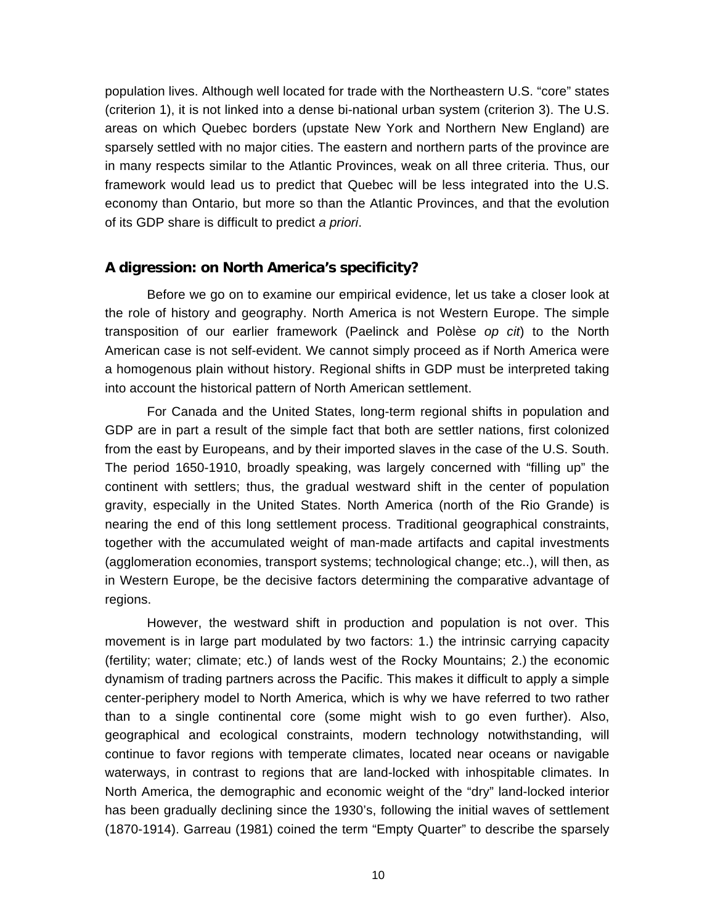population lives. Although well located for trade with the Northeastern U.S. "core" states (criterion 1), it is not linked into a dense bi-national urban system (criterion 3). The U.S. areas on which Quebec borders (upstate New York and Northern New England) are sparsely settled with no major cities. The eastern and northern parts of the province are in many respects similar to the Atlantic Provinces, weak on all three criteria. Thus, our framework would lead us to predict that Quebec will be less integrated into the U.S. economy than Ontario, but more so than the Atlantic Provinces, and that the evolution of its GDP share is difficult to predict *a priori*.

#### **A digression: on North America's specificity?**

Before we go on to examine our empirical evidence, let us take a closer look at the role of history and geography. North America is not Western Europe. The simple transposition of our earlier framework (Paelinck and Polèse *op cit*) to the North American case is not self-evident. We cannot simply proceed as if North America were a homogenous plain without history. Regional shifts in GDP must be interpreted taking into account the historical pattern of North American settlement.

For Canada and the United States, long-term regional shifts in population and GDP are in part a result of the simple fact that both are settler nations, first colonized from the east by Europeans, and by their imported slaves in the case of the U.S. South. The period 1650-1910, broadly speaking, was largely concerned with "filling up" the continent with settlers; thus, the gradual westward shift in the center of population gravity, especially in the United States. North America (north of the Rio Grande) is nearing the end of this long settlement process. Traditional geographical constraints, together with the accumulated weight of man-made artifacts and capital investments (agglomeration economies, transport systems; technological change; etc..), will then, as in Western Europe, be the decisive factors determining the comparative advantage of regions.

However, the westward shift in production and population is not over. This movement is in large part modulated by two factors: 1.) the intrinsic carrying capacity (fertility; water; climate; etc.) of lands west of the Rocky Mountains; 2.) the economic dynamism of trading partners across the Pacific. This makes it difficult to apply a simple center-periphery model to North America, which is why we have referred to two rather than to a single continental core (some might wish to go even further). Also, geographical and ecological constraints, modern technology notwithstanding, will continue to favor regions with temperate climates, located near oceans or navigable waterways, in contrast to regions that are land-locked with inhospitable climates. In North America, the demographic and economic weight of the "dry" land-locked interior has been gradually declining since the 1930's, following the initial waves of settlement (1870-1914). Garreau (1981) coined the term "Empty Quarter" to describe the sparsely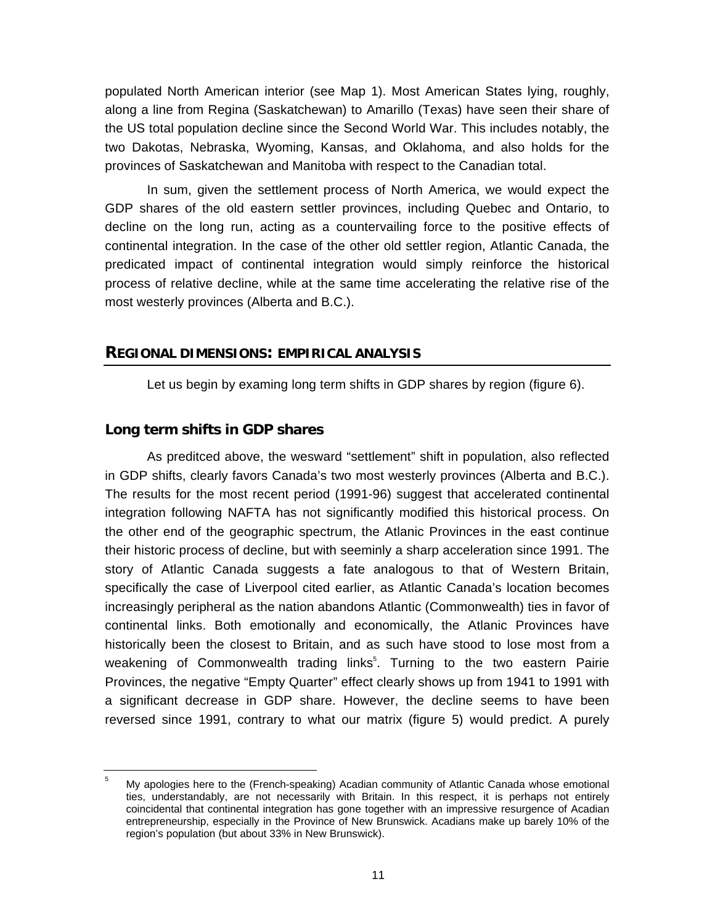populated North American interior (see Map 1). Most American States lying, roughly, along a line from Regina (Saskatchewan) to Amarillo (Texas) have seen their share of the US total population decline since the Second World War. This includes notably, the two Dakotas, Nebraska, Wyoming, Kansas, and Oklahoma, and also holds for the provinces of Saskatchewan and Manitoba with respect to the Canadian total.

In sum, given the settlement process of North America, we would expect the GDP shares of the old eastern settler provinces, including Quebec and Ontario, to decline on the long run, acting as a countervailing force to the positive effects of continental integration. In the case of the other old settler region, Atlantic Canada, the predicated impact of continental integration would simply reinforce the historical process of relative decline, while at the same time accelerating the relative rise of the most westerly provinces (Alberta and B.C.).

#### **REGIONAL DIMENSIONS: EMPIRICAL ANALYSIS**

Let us begin by examing long term shifts in GDP shares by region (figure 6).

#### **Long term shifts in GDP shares**

As preditced above, the wesward "settlement" shift in population, also reflected in GDP shifts, clearly favors Canada's two most westerly provinces (Alberta and B.C.). The results for the most recent period (1991-96) suggest that accelerated continental integration following NAFTA has not significantly modified this historical process. On the other end of the geographic spectrum, the Atlanic Provinces in the east continue their historic process of decline, but with seeminly a sharp acceleration since 1991. The story of Atlantic Canada suggests a fate analogous to that of Western Britain, specifically the case of Liverpool cited earlier, as Atlantic Canada's location becomes increasingly peripheral as the nation abandons Atlantic (Commonwealth) ties in favor of continental links. Both emotionally and economically, the Atlanic Provinces have historically been the closest to Britain, and as such have stood to lose most from a weakening of Commonwealth trading links<sup>5</sup>. Turning to the two eastern Pairie Provinces, the negative "Empty Quarter" effect clearly shows up from 1941 to 1991 with a significant decrease in GDP share. However, the decline seems to have been reversed since 1991, contrary to what our matrix (figure 5) would predict. A purely

<sup>5</sup> My apologies here to the (French-speaking) Acadian community of Atlantic Canada whose emotional ties, understandably, are not necessarily with Britain. In this respect, it is perhaps not entirely coincidental that continental integration has gone together with an impressive resurgence of Acadian entrepreneurship, especially in the Province of New Brunswick. Acadians make up barely 10% of the region's population (but about 33% in New Brunswick).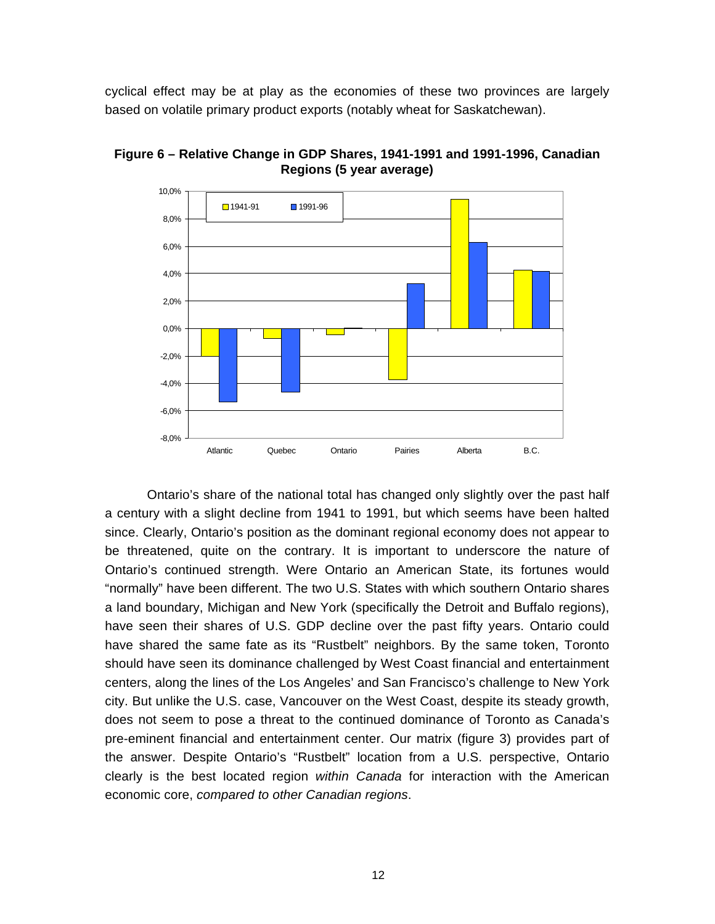cyclical effect may be at play as the economies of these two provinces are largely based on volatile primary product exports (notably wheat for Saskatchewan).



**Figure 6 – Relative Change in GDP Shares, 1941-1991 and 1991-1996, Canadian Regions (5 year average)**

Ontario's share of the national total has changed only slightly over the past half a century with a slight decline from 1941 to 1991, but which seems have been halted since. Clearly, Ontario's position as the dominant regional economy does not appear to be threatened, quite on the contrary. It is important to underscore the nature of Ontario's continued strength. Were Ontario an American State, its fortunes would "normally" have been different. The two U.S. States with which southern Ontario shares a land boundary, Michigan and New York (specifically the Detroit and Buffalo regions), have seen their shares of U.S. GDP decline over the past fifty years. Ontario could have shared the same fate as its "Rustbelt" neighbors. By the same token, Toronto should have seen its dominance challenged by West Coast financial and entertainment centers, along the lines of the Los Angeles' and San Francisco's challenge to New York city. But unlike the U.S. case, Vancouver on the West Coast, despite its steady growth, does not seem to pose a threat to the continued dominance of Toronto as Canada's pre-eminent financial and entertainment center. Our matrix (figure 3) provides part of the answer. Despite Ontario's "Rustbelt" location from a U.S. perspective, Ontario clearly is the best located region *within Canada* for interaction with the American economic core, *compared to other Canadian regions*.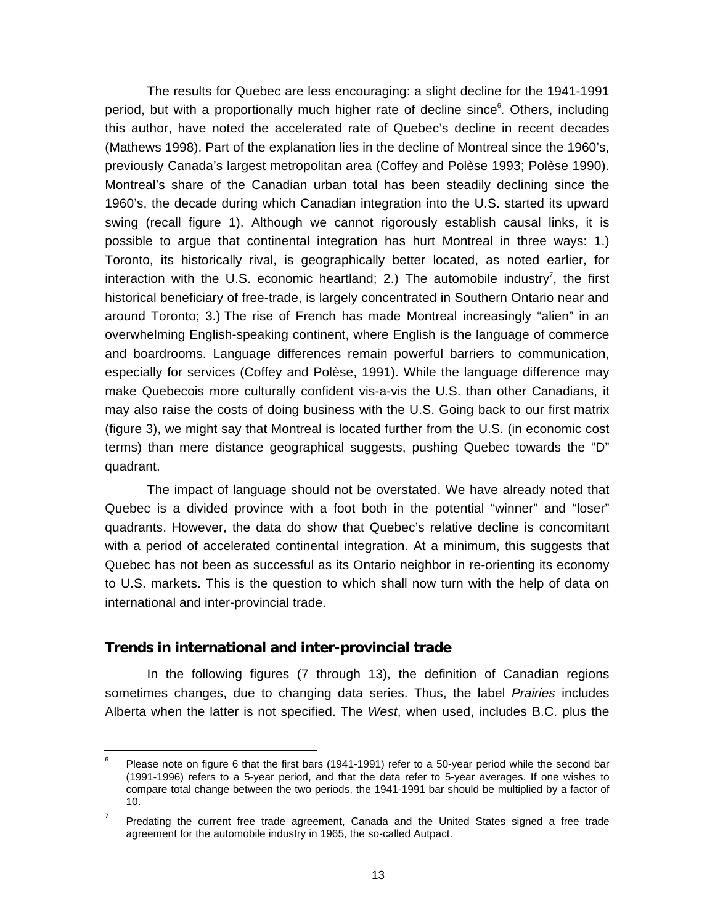The results for Quebec are less encouraging: a slight decline for the 1941-1991 period, but with a proportionally much higher rate of decline since<sup>6</sup>. Others, including this author, have noted the accelerated rate of Quebec's decline in recent decades (Mathews 1998). Part of the explanation lies in the decline of Montreal since the 1960's, previously Canada's largest metropolitan area (Coffey and Polèse 1993; Polèse 1990). Montreal's share of the Canadian urban total has been steadily declining since the 1960's, the decade during which Canadian integration into the U.S. started its upward swing (recall figure 1). Although we cannot rigorously establish causal links, it is possible to argue that continental integration has hurt Montreal in three ways: 1.) Toronto, its historically rival, is geographically better located, as noted earlier, for interaction with the U.S. economic heartland; 2.) The automobile industry<sup>7</sup>, the first historical beneficiary of free-trade, is largely concentrated in Southern Ontario near and around Toronto; 3.) The rise of French has made Montreal increasingly "alien" in an overwhelming English-speaking continent, where English is the language of commerce and boardrooms. Language differences remain powerful barriers to communication, especially for services (Coffey and Polèse, 1991). While the language difference may make Quebecois more culturally confident vis-a-vis the U.S. than other Canadians, it may also raise the costs of doing business with the U.S. Going back to our first matrix (figure 3), we might say that Montreal is located further from the U.S. (in economic cost terms) than mere distance geographical suggests, pushing Quebec towards the "D" quadrant.

The impact of language should not be overstated. We have already noted that Quebec is a divided province with a foot both in the potential "winner" and "loser" quadrants. However, the data do show that Quebec's relative decline is concomitant with a period of accelerated continental integration. At a minimum, this suggests that Quebec has not been as successful as its Ontario neighbor in re-orienting its economy to U.S. markets. This is the question to which shall now turn with the help of data on international and inter-provincial trade.

#### **Trends in international and inter-provincial trade**

In the following figures (7 through 13), the definition of Canadian regions sometimes changes, due to changing data series. Thus, the label *Prairies* includes Alberta when the latter is not specified. The *West*, when used, includes B.C. plus the

<sup>6</sup> Please note on figure 6 that the first bars (1941-1991) refer to a 50-year period while the second bar (1991-1996) refers to a 5-year period, and that the data refer to 5-year averages. If one wishes to compare total change between the two periods, the 1941-1991 bar should be multiplied by a factor of 10.

<sup>7</sup> Predating the current free trade agreement, Canada and the United States signed a free trade agreement for the automobile industry in 1965, the so-called Autpact.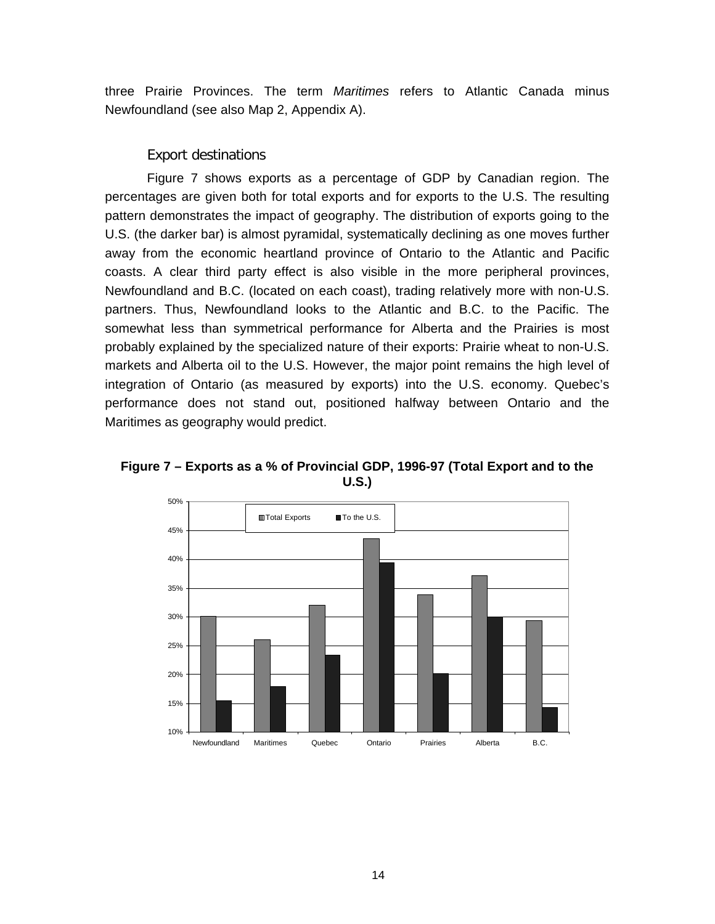three Prairie Provinces. The term *Maritimes* refers to Atlantic Canada minus Newfoundland (see also Map 2, Appendix A).

#### *Export destinations*

Figure 7 shows exports as a percentage of GDP by Canadian region. The percentages are given both for total exports and for exports to the U.S. The resulting pattern demonstrates the impact of geography. The distribution of exports going to the U.S. (the darker bar) is almost pyramidal, systematically declining as one moves further away from the economic heartland province of Ontario to the Atlantic and Pacific coasts. A clear third party effect is also visible in the more peripheral provinces, Newfoundland and B.C. (located on each coast), trading relatively more with non-U.S. partners. Thus, Newfoundland looks to the Atlantic and B.C. to the Pacific. The somewhat less than symmetrical performance for Alberta and the Prairies is most probably explained by the specialized nature of their exports: Prairie wheat to non-U.S. markets and Alberta oil to the U.S. However, the major point remains the high level of integration of Ontario (as measured by exports) into the U.S. economy. Quebec's performance does not stand out, positioned halfway between Ontario and the Maritimes as geography would predict.



**Figure 7 – Exports as a % of Provincial GDP, 1996-97 (Total Export and to the U.S.)**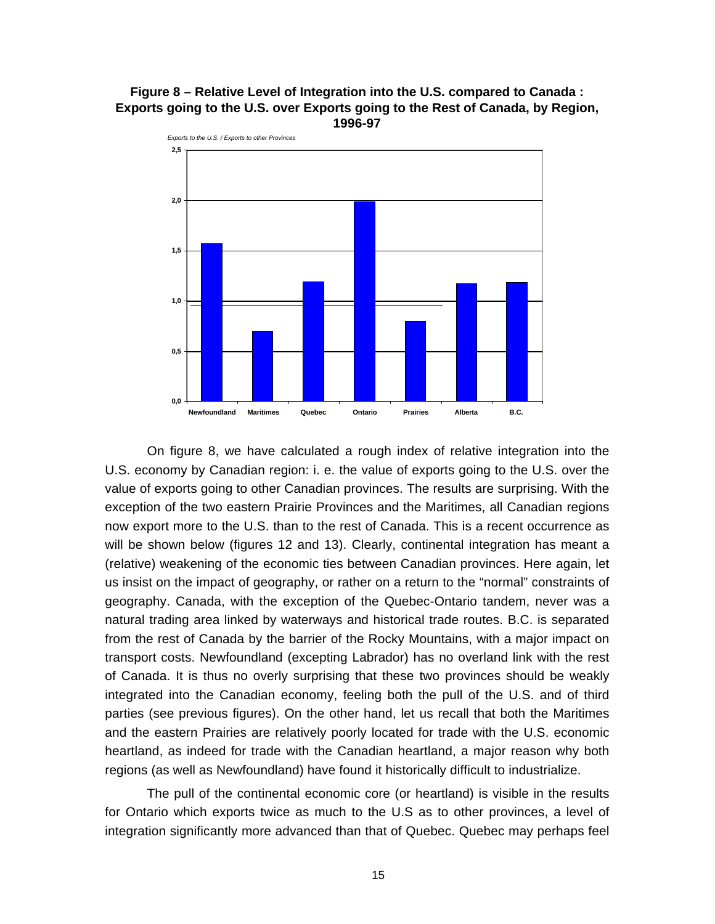#### **Figure 8 – Relative Level of Integration into the U.S. compared to Canada : Exports going to the U.S. over Exports going to the Rest of Canada, by Region, 1996-97**



On figure 8, we have calculated a rough index of relative integration into the U.S. economy by Canadian region: i. e. the value of exports going to the U.S. over the value of exports going to other Canadian provinces. The results are surprising. With the exception of the two eastern Prairie Provinces and the Maritimes, all Canadian regions now export more to the U.S. than to the rest of Canada. This is a recent occurrence as will be shown below (figures 12 and 13). Clearly, continental integration has meant a (relative) weakening of the economic ties between Canadian provinces. Here again, let us insist on the impact of geography, or rather on a return to the "normal" constraints of geography. Canada, with the exception of the Quebec-Ontario tandem, never was a natural trading area linked by waterways and historical trade routes. B.C. is separated from the rest of Canada by the barrier of the Rocky Mountains, with a major impact on transport costs. Newfoundland (excepting Labrador) has no overland link with the rest of Canada. It is thus no overly surprising that these two provinces should be weakly integrated into the Canadian economy, feeling both the pull of the U.S. and of third parties (see previous figures). On the other hand, let us recall that both the Maritimes and the eastern Prairies are relatively poorly located for trade with the U.S. economic heartland, as indeed for trade with the Canadian heartland, a major reason why both regions (as well as Newfoundland) have found it historically difficult to industrialize.

The pull of the continental economic core (or heartland) is visible in the results for Ontario which exports twice as much to the U.S as to other provinces, a level of integration significantly more advanced than that of Quebec. Quebec may perhaps feel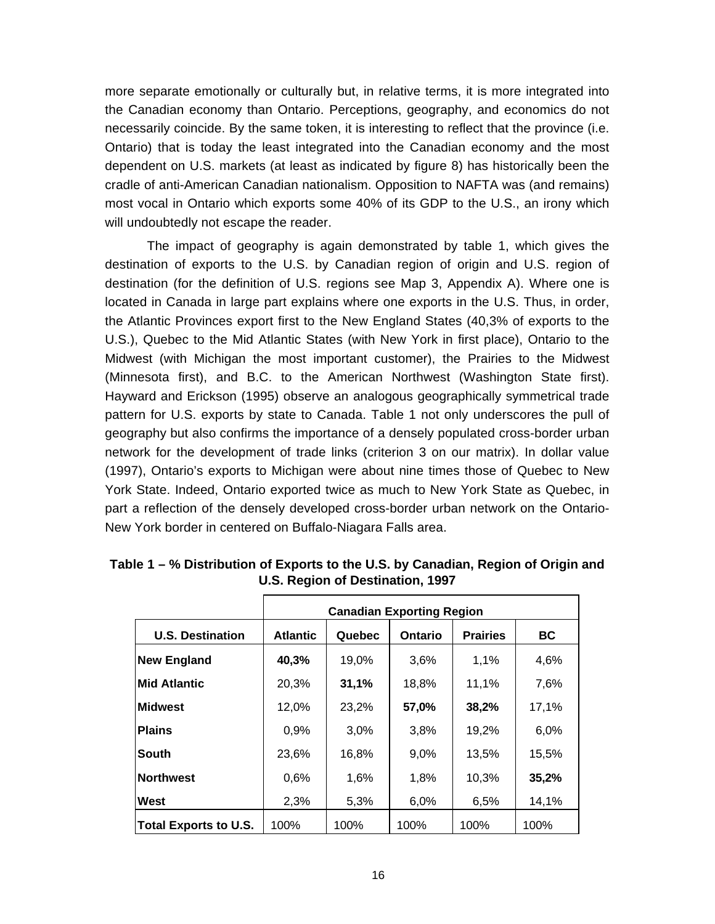more separate emotionally or culturally but, in relative terms, it is more integrated into the Canadian economy than Ontario. Perceptions, geography, and economics do not necessarily coincide. By the same token, it is interesting to reflect that the province (i.e. Ontario) that is today the least integrated into the Canadian economy and the most dependent on U.S. markets (at least as indicated by figure 8) has historically been the cradle of anti-American Canadian nationalism. Opposition to NAFTA was (and remains) most vocal in Ontario which exports some 40% of its GDP to the U.S., an irony which will undoubtedly not escape the reader.

The impact of geography is again demonstrated by table 1, which gives the destination of exports to the U.S. by Canadian region of origin and U.S. region of destination (for the definition of U.S. regions see Map 3, Appendix A). Where one is located in Canada in large part explains where one exports in the U.S. Thus, in order, the Atlantic Provinces export first to the New England States (40,3% of exports to the U.S.), Quebec to the Mid Atlantic States (with New York in first place), Ontario to the Midwest (with Michigan the most important customer), the Prairies to the Midwest (Minnesota first), and B.C. to the American Northwest (Washington State first). Hayward and Erickson (1995) observe an analogous geographically symmetrical trade pattern for U.S. exports by state to Canada. Table 1 not only underscores the pull of geography but also confirms the importance of a densely populated cross-border urban network for the development of trade links (criterion 3 on our matrix). In dollar value (1997), Ontario's exports to Michigan were about nine times those of Quebec to New York State. Indeed, Ontario exported twice as much to New York State as Quebec, in part a reflection of the densely developed cross-border urban network on the Ontario-New York border in centered on Buffalo-Niagara Falls area.

|                              | <b>Canadian Exporting Region</b> |        |                |                 |       |  |
|------------------------------|----------------------------------|--------|----------------|-----------------|-------|--|
| <b>U.S. Destination</b>      | <b>Atlantic</b>                  | Quebec | <b>Ontario</b> | <b>Prairies</b> | BC    |  |
| <b>New England</b>           | 40,3%                            | 19,0%  | 3,6%           | 1,1%            | 4,6%  |  |
| <b>Mid Atlantic</b>          | 20,3%                            | 31,1%  | 18,8%          | 11,1%           | 7,6%  |  |
| <b>Midwest</b>               | 12,0%                            | 23,2%  | 57,0%          | 38,2%           | 17,1% |  |
| <b>Plains</b>                | 0,9%                             | 3,0%   | 3,8%           | 19,2%           | 6,0%  |  |
| South                        | 23,6%                            | 16,8%  | 9,0%           | 13,5%           | 15,5% |  |
| <b>Northwest</b>             | 0,6%                             | 1,6%   | 1,8%           | 10,3%           | 35,2% |  |
| West                         | 2,3%                             | 5,3%   | 6,0%           | 6,5%            | 14,1% |  |
| <b>Total Exports to U.S.</b> | 100%                             | 100%   | 100%           | 100%            | 100%  |  |

**Table 1 – % Distribution of Exports to the U.S. by Canadian, Region of Origin and U.S. Region of Destination, 1997**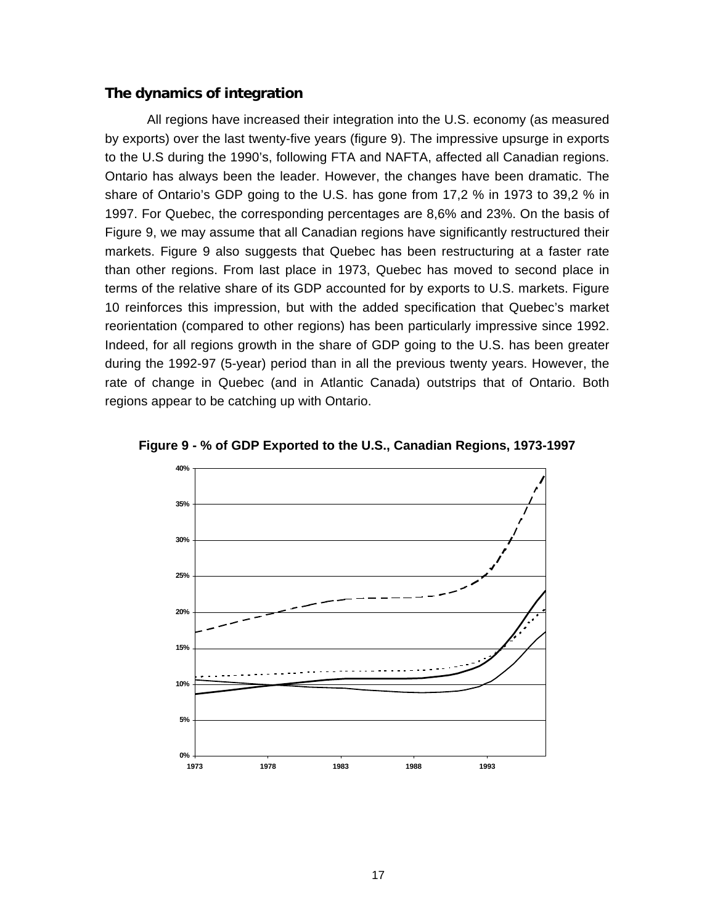#### **The dynamics of integration**

All regions have increased their integration into the U.S. economy (as measured by exports) over the last twenty-five years (figure 9). The impressive upsurge in exports to the U.S during the 1990's, following FTA and NAFTA, affected all Canadian regions. Ontario has always been the leader. However, the changes have been dramatic. The share of Ontario's GDP going to the U.S. has gone from 17,2 % in 1973 to 39,2 % in 1997. For Quebec, the corresponding percentages are 8,6% and 23%. On the basis of Figure 9, we may assume that all Canadian regions have significantly restructured their markets. Figure 9 also suggests that Quebec has been restructuring at a faster rate than other regions. From last place in 1973, Quebec has moved to second place in terms of the relative share of its GDP accounted for by exports to U.S. markets. Figure 10 reinforces this impression, but with the added specification that Quebec's market reorientation (compared to other regions) has been particularly impressive since 1992. Indeed, for all regions growth in the share of GDP going to the U.S. has been greater during the 1992-97 (5-year) period than in all the previous twenty years. However, the rate of change in Quebec (and in Atlantic Canada) outstrips that of Ontario. Both regions appear to be catching up with Ontario.



**Figure 9 - % of GDP Exported to the U.S., Canadian Regions, 1973-1997**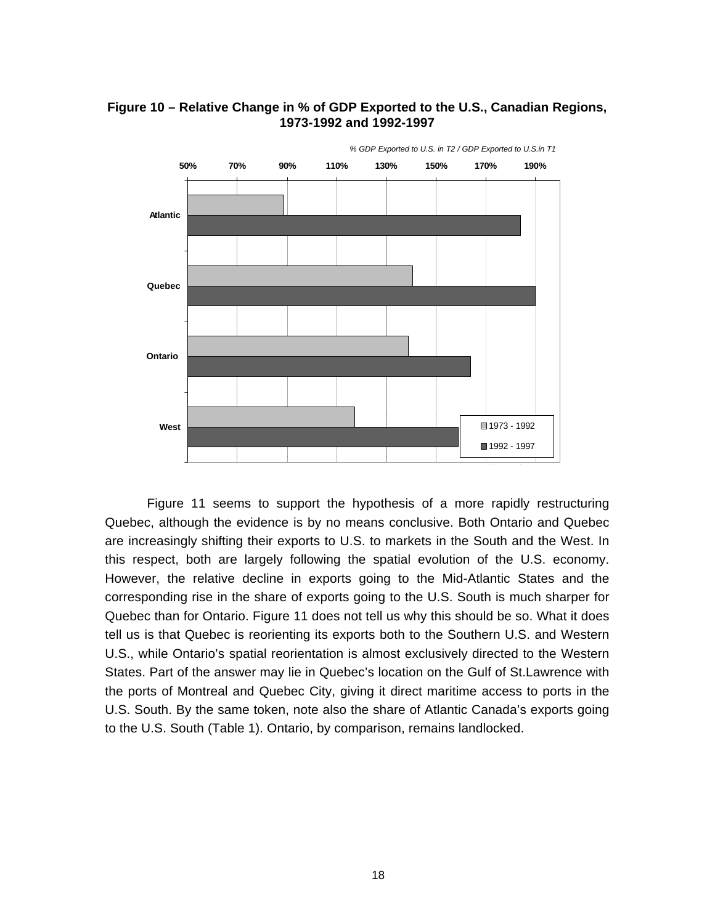

#### **Figure 10 – Relative Change in % of GDP Exported to the U.S., Canadian Regions, 1973-1992 and 1992-1997**

Figure 11 seems to support the hypothesis of a more rapidly restructuring Quebec, although the evidence is by no means conclusive. Both Ontario and Quebec are increasingly shifting their exports to U.S. to markets in the South and the West. In this respect, both are largely following the spatial evolution of the U.S. economy. However, the relative decline in exports going to the Mid-Atlantic States and the corresponding rise in the share of exports going to the U.S. South is much sharper for Quebec than for Ontario. Figure 11 does not tell us why this should be so. What it does tell us is that Quebec is reorienting its exports both to the Southern U.S. and Western U.S., while Ontario's spatial reorientation is almost exclusively directed to the Western States. Part of the answer may lie in Quebec's location on the Gulf of St.Lawrence with the ports of Montreal and Quebec City, giving it direct maritime access to ports in the U.S. South. By the same token, note also the share of Atlantic Canada's exports going to the U.S. South (Table 1). Ontario, by comparison, remains landlocked.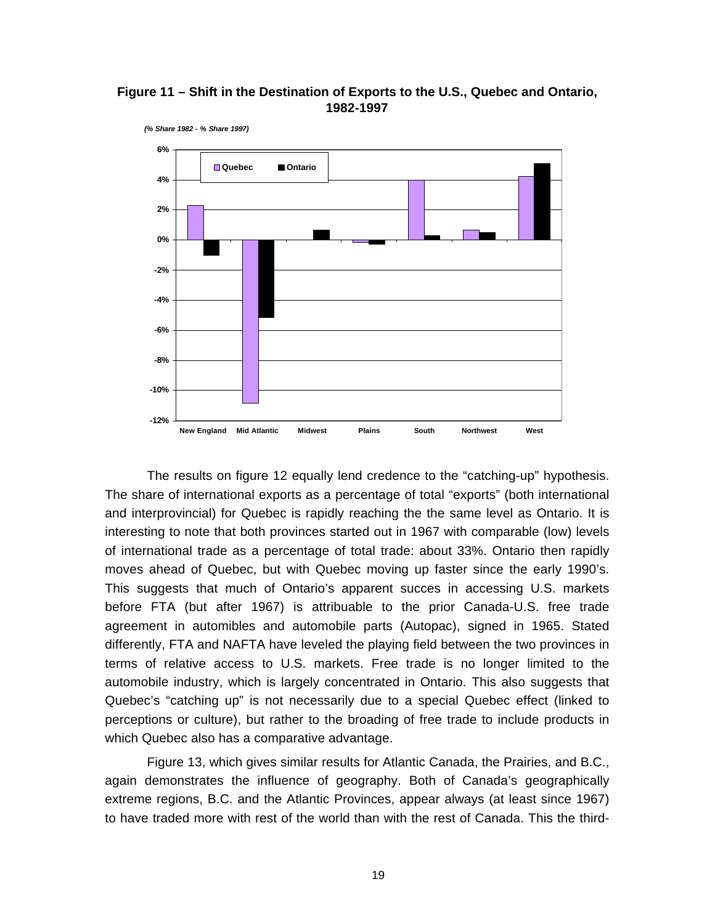**Figure 11 – Shift in the Destination of Exports to the U.S., Quebec and Ontario, 1982-1997**



The results on figure 12 equally lend credence to the "catching-up" hypothesis. The share of international exports as a percentage of total "exports" (both international and interprovincial) for Quebec is rapidly reaching the the same level as Ontario. It is interesting to note that both provinces started out in 1967 with comparable (low) levels of international trade as a percentage of total trade: about 33%. Ontario then rapidly moves ahead of Quebec, but with Quebec moving up faster since the early 1990's. This suggests that much of Ontario's apparent succes in accessing U.S. markets before FTA (but after 1967) is attribuable to the prior Canada-U.S. free trade agreement in automibles and automobile parts (Autopac), signed in 1965. Stated differently, FTA and NAFTA have leveled the playing field between the two provinces in terms of relative access to U.S. markets. Free trade is no longer limited to the automobile industry, which is largely concentrated in Ontario. This also suggests that Quebec's "catching up" is not necessarily due to a special Quebec effect (linked to perceptions or culture), but rather to the broading of free trade to include products in which Quebec also has a comparative advantage.

Figure 13, which gives similar results for Atlantic Canada, the Prairies, and B.C., again demonstrates the influence of geography. Both of Canada's geographically extreme regions, B.C. and the Atlantic Provinces, appear always (at least since 1967) to have traded more with rest of the world than with the rest of Canada. This the third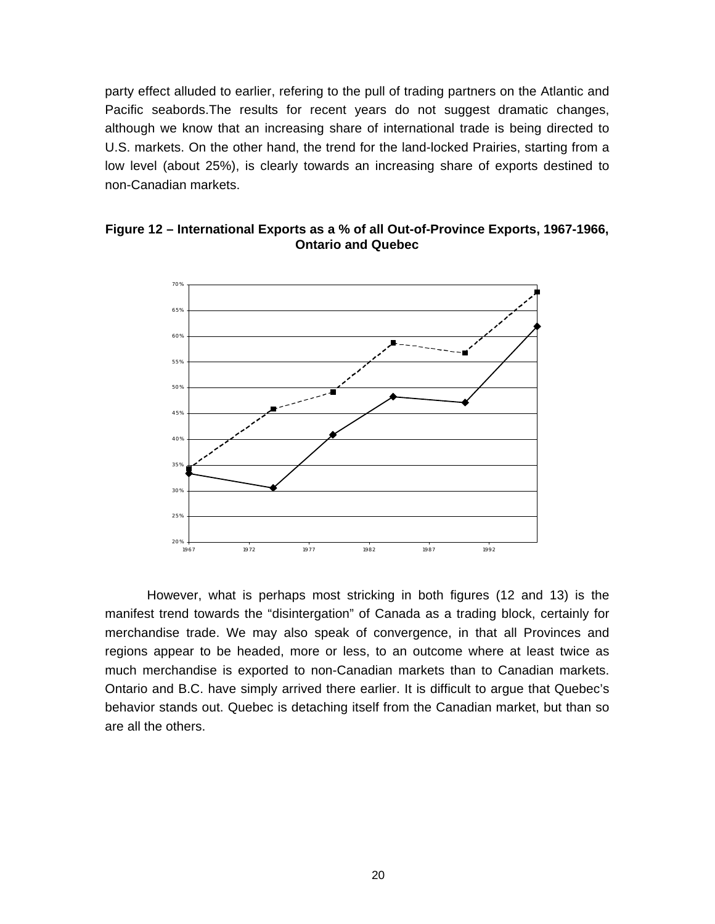party effect alluded to earlier, refering to the pull of trading partners on the Atlantic and Pacific seabords.The results for recent years do not suggest dramatic changes, although we know that an increasing share of international trade is being directed to U.S. markets. On the other hand, the trend for the land-locked Prairies, starting from a low level (about 25%), is clearly towards an increasing share of exports destined to non-Canadian markets.



#### **Figure 12 – International Exports as a % of all Out-of-Province Exports, 1967-1966, Ontario and Quebec**

However, what is perhaps most stricking in both figures (12 and 13) is the manifest trend towards the "disintergation" of Canada as a trading block, certainly for merchandise trade. We may also speak of convergence, in that all Provinces and regions appear to be headed, more or less, to an outcome where at least twice as much merchandise is exported to non-Canadian markets than to Canadian markets. Ontario and B.C. have simply arrived there earlier. It is difficult to argue that Quebec's behavior stands out. Quebec is detaching itself from the Canadian market, but than so are all the others.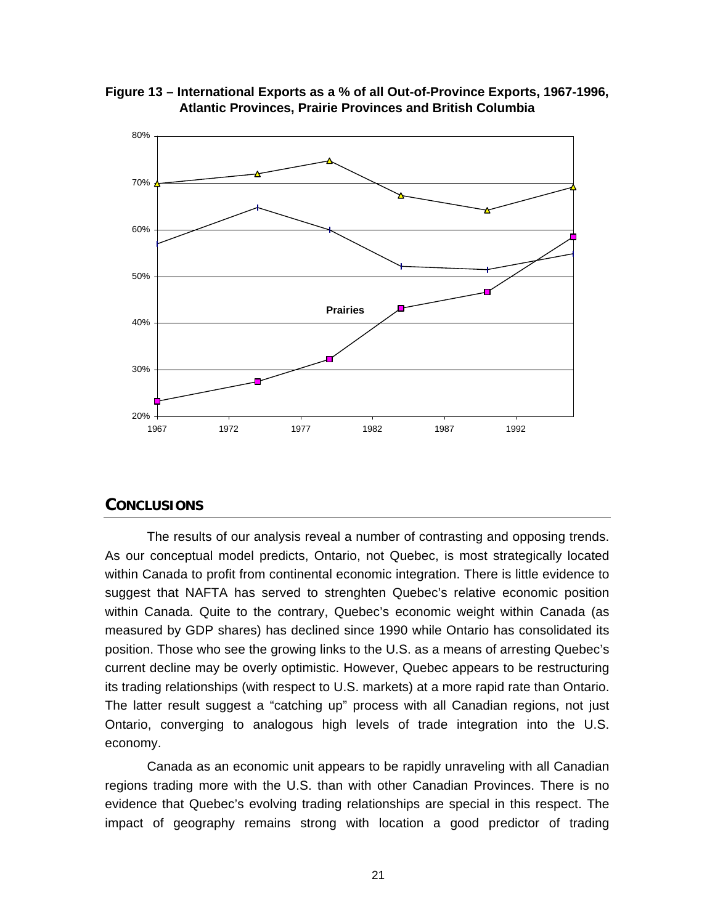

**Figure 13 – International Exports as a % of all Out-of-Province Exports, 1967-1996, Atlantic Provinces, Prairie Provinces and British Columbia**

#### **CONCLUSIONS**

The results of our analysis reveal a number of contrasting and opposing trends. As our conceptual model predicts, Ontario, not Quebec, is most strategically located within Canada to profit from continental economic integration. There is little evidence to suggest that NAFTA has served to strenghten Quebec's relative economic position within Canada. Quite to the contrary, Quebec's economic weight within Canada (as measured by GDP shares) has declined since 1990 while Ontario has consolidated its position. Those who see the growing links to the U.S. as a means of arresting Quebec's current decline may be overly optimistic. However, Quebec appears to be restructuring its trading relationships (with respect to U.S. markets) at a more rapid rate than Ontario. The latter result suggest a "catching up" process with all Canadian regions, not just Ontario, converging to analogous high levels of trade integration into the U.S. economy.

Canada as an economic unit appears to be rapidly unraveling with all Canadian regions trading more with the U.S. than with other Canadian Provinces. There is no evidence that Quebec's evolving trading relationships are special in this respect. The impact of geography remains strong with location a good predictor of trading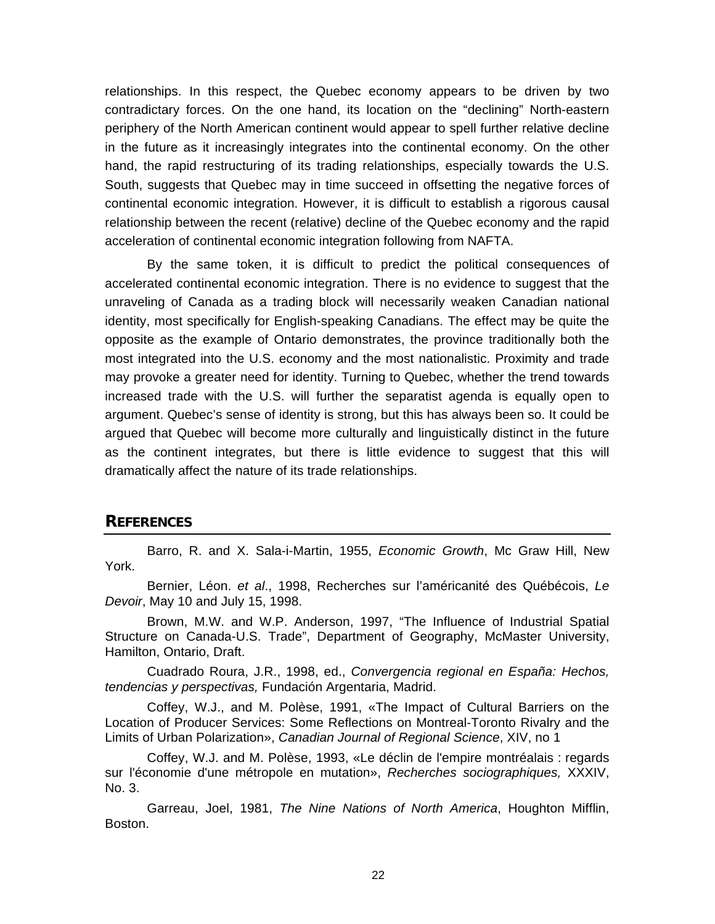relationships. In this respect, the Quebec economy appears to be driven by two contradictary forces. On the one hand, its location on the "declining" North-eastern periphery of the North American continent would appear to spell further relative decline in the future as it increasingly integrates into the continental economy. On the other hand, the rapid restructuring of its trading relationships, especially towards the U.S. South, suggests that Quebec may in time succeed in offsetting the negative forces of continental economic integration. However, it is difficult to establish a rigorous causal relationship between the recent (relative) decline of the Quebec economy and the rapid acceleration of continental economic integration following from NAFTA.

By the same token, it is difficult to predict the political consequences of accelerated continental economic integration. There is no evidence to suggest that the unraveling of Canada as a trading block will necessarily weaken Canadian national identity, most specifically for English-speaking Canadians. The effect may be quite the opposite as the example of Ontario demonstrates, the province traditionally both the most integrated into the U.S. economy and the most nationalistic. Proximity and trade may provoke a greater need for identity. Turning to Quebec, whether the trend towards increased trade with the U.S. will further the separatist agenda is equally open to argument. Quebec's sense of identity is strong, but this has always been so. It could be argued that Quebec will become more culturally and linguistically distinct in the future as the continent integrates, but there is little evidence to suggest that this will dramatically affect the nature of its trade relationships.

## **REFERENCES**

Barro, R. and X. Sala-i-Martin, 1955, *Economic Growth*, Mc Graw Hill, New York.

Bernier, Léon. *et al*., 1998, Recherches sur l'américanité des Québécois, *Le Devoir*, May 10 and July 15, 1998.

Brown, M.W. and W.P. Anderson, 1997, "The Influence of Industrial Spatial Structure on Canada-U.S. Trade", Department of Geography, McMaster University, Hamilton, Ontario, Draft.

Cuadrado Roura, J.R., 1998, ed., *Convergencia regional en España: Hechos, tendencias y perspectivas,* Fundación Argentaria, Madrid.

Coffey, W.J., and M. Polèse, 1991, «The Impact of Cultural Barriers on the Location of Producer Services: Some Reflections on Montreal-Toronto Rivalry and the Limits of Urban Polarization», *Canadian Journal of Regional Science*, XIV, no 1

Coffey, W.J. and M. Polèse, 1993, «Le déclin de l'empire montréalais : regards sur l'économie d'une métropole en mutation», *Recherches sociographiques,* XXXIV, No. 3.

Garreau, Joel, 1981, *The Nine Nations of North America*, Houghton Mifflin, Boston.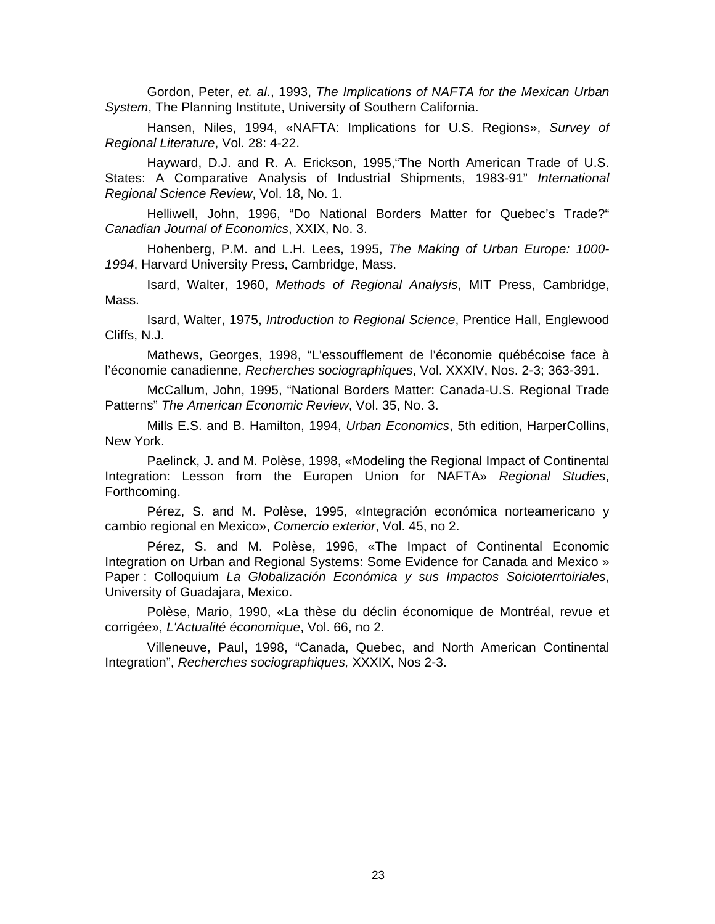Gordon, Peter, *et. al*., 1993, *The Implications of NAFTA for the Mexican Urban System*, The Planning Institute, University of Southern California.

Hansen, Niles, 1994, «NAFTA: Implications for U.S. Regions», *Survey of Regional Literature*, Vol. 28: 4-22.

Hayward, D.J. and R. A. Erickson, 1995,"The North American Trade of U.S. States: A Comparative Analysis of Industrial Shipments, 1983-91" *International Regional Science Review*, Vol. 18, No. 1.

Helliwell, John, 1996, "Do National Borders Matter for Quebec's Trade?" *Canadian Journal of Economics*, XXIX, No. 3.

Hohenberg, P.M. and L.H. Lees, 1995, *The Making of Urban Europe: 1000- 1994*, Harvard University Press, Cambridge, Mass.

Isard, Walter, 1960, *Methods of Regional Analysis*, MIT Press, Cambridge, Mass.

Isard, Walter, 1975, *Introduction to Regional Science*, Prentice Hall, Englewood Cliffs, N.J.

Mathews, Georges, 1998, "L'essoufflement de l'économie québécoise face à l'économie canadienne, *Recherches sociographiques*, Vol. XXXIV, Nos. 2-3; 363-391.

McCallum, John, 1995, "National Borders Matter: Canada-U.S. Regional Trade Patterns" *The American Economic Review*, Vol. 35, No. 3.

Mills E.S. and B. Hamilton, 1994, *Urban Economics*, 5th edition, HarperCollins, New York.

Paelinck, J. and M. Polèse, 1998, «Modeling the Regional Impact of Continental Integration: Lesson from the Europen Union for NAFTA» *Regional Studies*, Forthcoming.

Pérez, S. and M. Polèse, 1995, «Integración económica norteamericano y cambio regional en Mexico», *Comercio exterior*, Vol. 45, no 2.

Pérez, S. and M. Polèse, 1996, «The Impact of Continental Economic Integration on Urban and Regional Systems: Some Evidence for Canada and Mexico » Paper : Colloquium *La Globalización Económica y sus Impactos Soicioterrtoiriales*, University of Guadajara, Mexico.

Polèse, Mario, 1990, «La thèse du déclin économique de Montréal, revue et corrigée», *L'Actualité économique*, Vol. 66, no 2.

Villeneuve, Paul, 1998, "Canada, Quebec, and North American Continental Integration", *Recherches sociographiques,* XXXIX, Nos 2-3.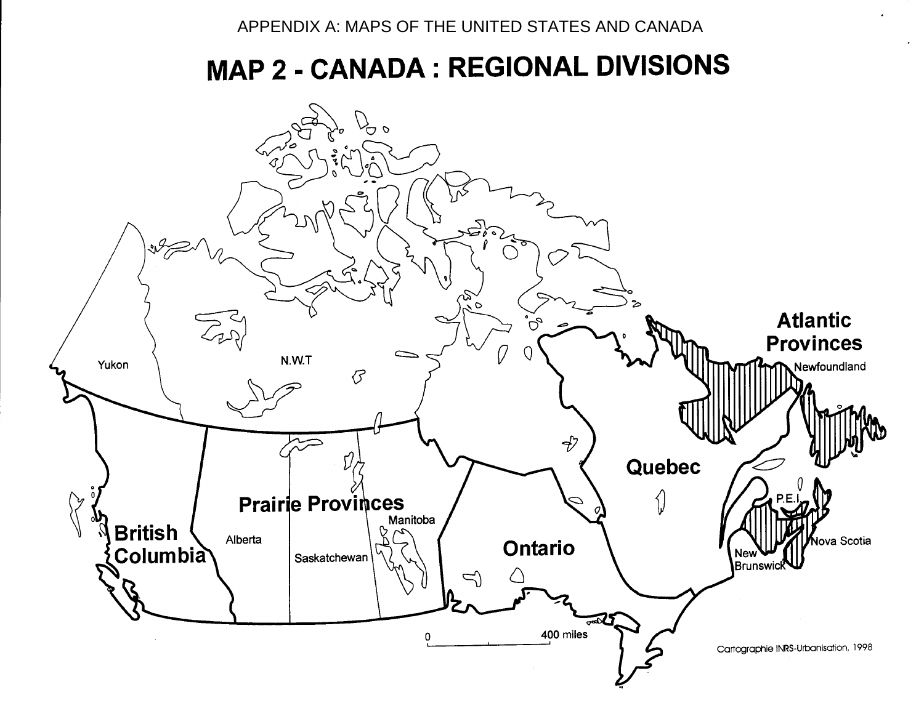# MAP 2 - CANADA : REGIONAL DIVISIONS

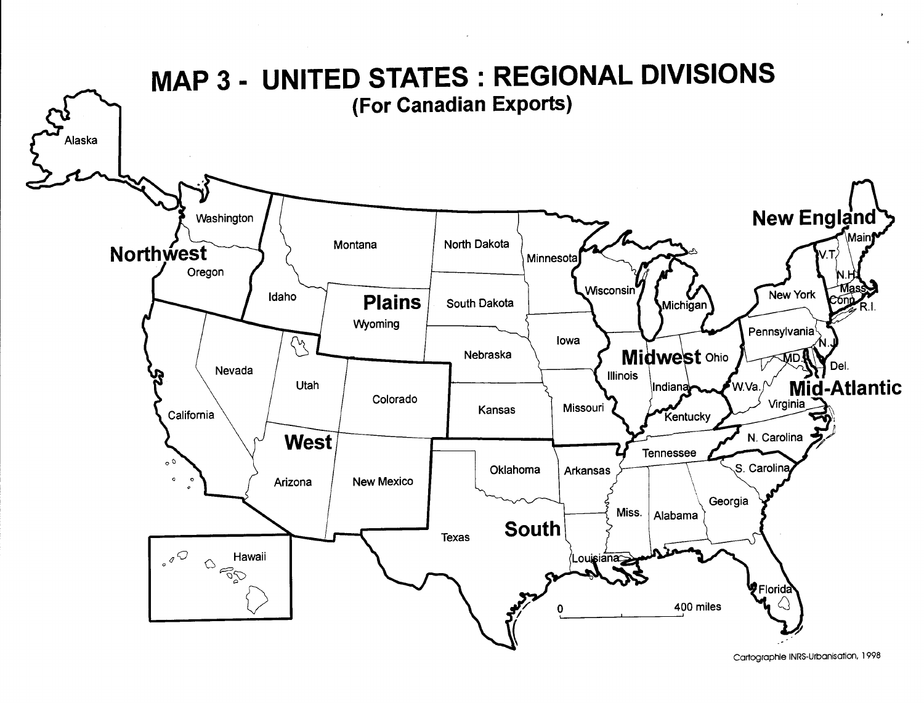